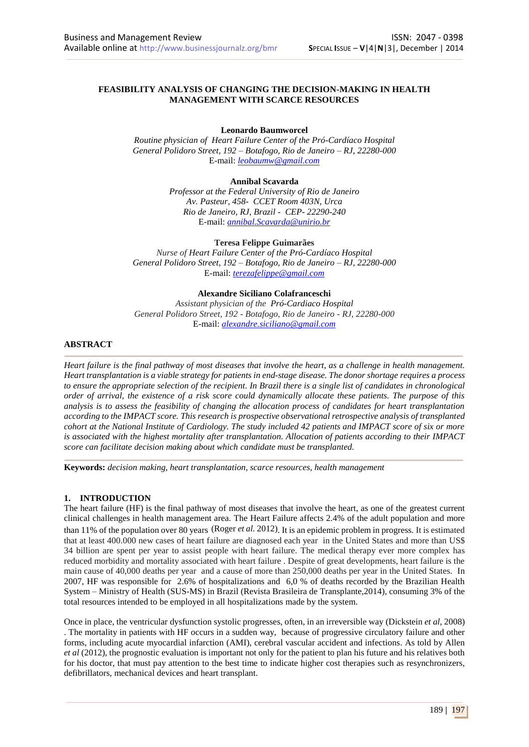### **FEASIBILITY ANALYSIS OF CHANGING THE DECISION-MAKING IN HEALTH MANAGEMENT WITH SCARCE RESOURCES**

**Leonardo Baumworcel**

*Routine physician of Heart Failure Center of the Pró-Cardíaco Hospital General Polidoro Street, 192 – Botafogo, Rio de Janeiro – RJ, 22280-000* E-mail: *leobaumw@gmail.com*

**Annibal Scavarda**

*Professor at the Federal University of Rio de Janeiro Av. Pasteur, 458- CCET Room 403N, Urca Rio de Janeiro, RJ, Brazil - CEP- 22290-240* E-mail: *annibal.Scavarda@unirio.br*

**Teresa Felippe Guimarães**

*Nurse of Heart Failure Center of the Pró-Cardíaco Hospital General Polidoro Street, 192 – Botafogo, Rio de Janeiro – RJ, 22280-000* E-mail: *terezafelippe@gmail.com*

**Alexandre Siciliano Colafranceschi**

*Assistant physician of the Pró-Cardiaco Hospital General Polidoro Street, 192 - Botafogo, Rio de Janeiro - RJ, 22280-000* E-mail: *alexandre.siciliano@gmail.com*

## **ABSTRACT**

*Heart failure is the final pathway of most diseases that involve the heart, as a challenge in health management. Heart transplantation is a viable strategy for patients in end-stage disease. The donor shortage requires a process to ensure the appropriate selection of the recipient. In Brazil there is a single list of candidates in chronological order of arrival, the existence of a risk score could dynamically allocate these patients. The purpose of this analysis is to assess the feasibility of changing the allocation process of candidates for heart transplantation according to the IMPACT score. This research is prospective observational retrospective analysis of transplanted cohort at the National Institute of Cardiology. The study included 42 patients and IMPACT score of six or more is associated with the highest mortality after transplantation. Allocation of patients according to their IMPACT score can facilitate decision making about which candidate must be transplanted.*

**Keywords:** *decision making, heart transplantation, scarce resources, health management*

#### **1. INTRODUCTION**

The heart failure (HF) is the final pathway of most diseases that involve the heart, as one of the greatest current clinical challenges in health management area. The Heart Failure affects 2.4% of the adult population and more than 11% of the population over 80 years (Roger *et al.* 2012). It is an epidemic problem in progress. It is estimated that at least 400.000 new cases of heart failure are diagnosed each year in the United States and more than US\$ 34 billion are spent per year to assist people with heart failure. The medical therapy ever more complex has reduced morbidity and mortality associated with heart failure . Despite of great developments, heart failure is the main cause of 40,000 deaths per year and a cause of more than 250,000 deaths per year in the United States. In 2007, HF was responsible for 2.6% of hospitalizations and 6,0 % of deaths recorded by the Brazilian Health System – Ministry of Health (SUS-MS) in Brazil (Revista Brasileira de Transplante,2014), consuming 3% of the total resources intended to be employed in all hospitalizations made by the system.

Once in place, the ventricular dysfunction systolic progresses, often, in an irreversible way (Dickstein *et al*, 2008) . The mortality in patients with HF occurs in a sudden way, because of progressive circulatory failure and other forms, including acute myocardial infarction (AMI), cerebral vascular accident and infections. As told by Allen *et al* (2012), the prognostic evaluation is important not only for the patient to plan his future and his relatives both for his doctor, that must pay attention to the best time to indicate higher cost therapies such as resynchronizers, defibrillators, mechanical devices and heart transplant.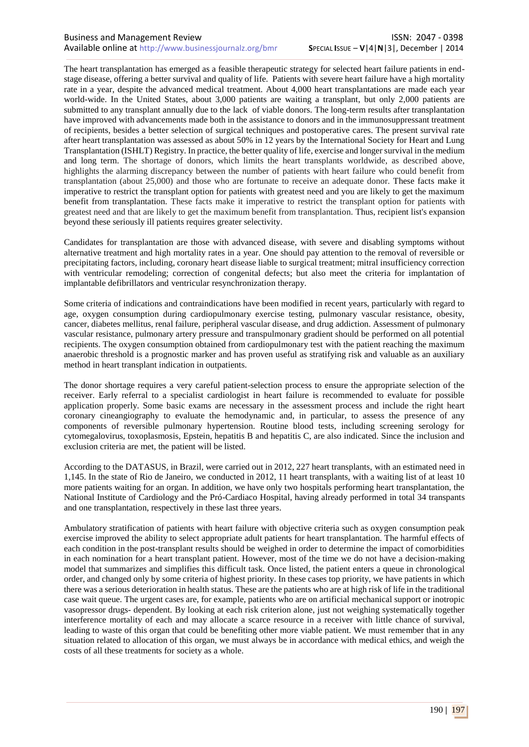The heart transplantation has emerged as a feasible therapeutic strategy for selected heart failure patients in endstage disease, offering a better survival and quality of life. Patients with severe heart failure have a high mortality rate in a year, despite the advanced medical treatment. About 4,000 heart transplantations are made each year world-wide. In the United States, about 3,000 patients are waiting a transplant, but only 2,000 patients are submitted to any transplant annually due to the lack of viable donors. The long-term results after transplantation have improved with advancements made both in the assistance to donors and in the immunosuppressant treatment of recipients, besides a better selection of surgical techniques and postoperative cares. The present survival rate after heart transplantation was assessed as about 50% in 12 years by the International Society for Heart and Lung Transplantation (ISHLT) Registry. In practice, the better quality of life, exercise and longer survival in the medium and long term. The shortage of donors, which limits the heart transplants worldwide, as described above, highlights the alarming discrepancy between the number of patients with heart failure who could benefit from transplantation (about 25,000) and those who are fortunate to receive an adequate donor. These facts make it imperative to restrict the transplant option for patients with greatest need and you are likely to get the maximum benefit from transplantation. These facts make it imperative to restrict the transplant option for patients with greatest need and that are likely to get the maximum benefit from transplantation. Thus, recipient list's expansion beyond these seriously ill patients requires greater selectivity.

Candidates for transplantation are those with advanced disease, with severe and disabling symptoms without alternative treatment and high mortality rates in a year. One should pay attention to the removal of reversible or precipitating factors, including, coronary heart disease liable to surgical treatment; mitral insufficiency correction with ventricular remodeling; correction of congenital defects; but also meet the criteria for implantation of implantable defibrillators and ventricular resynchronization therapy.

Some criteria of indications and contraindications have been modified in recent years, particularly with regard to age, oxygen consumption during cardiopulmonary exercise testing, pulmonary vascular resistance, obesity, cancer, diabetes mellitus, renal failure, peripheral vascular disease, and drug addiction. Assessment of pulmonary vascular resistance, pulmonary artery pressure and transpulmonary gradient should be performed on all potential recipients. The oxygen consumption obtained from cardiopulmonary test with the patient reaching the maximum anaerobic threshold is a prognostic marker and has proven useful as stratifying risk and valuable as an auxiliary method in heart transplant indication in outpatients.

The donor shortage requires a very careful patient-selection process to ensure the appropriate selection of the receiver. Early referral to a specialist cardiologist in heart failure is recommended to evaluate for possible application properly. Some basic exams are necessary in the assessment process and include the right heart coronary cineangiography to evaluate the hemodynamic and, in particular, to assess the presence of any components of reversible pulmonary hypertension. Routine blood tests, including screening serology for cytomegalovirus, toxoplasmosis, Epstein, hepatitis B and hepatitis C, are also indicated. Since the inclusion and exclusion criteria are met, the patient will be listed.

According to the DATASUS, in Brazil, were carried out in 2012, 227 heart transplants, with an estimated need in 1,145. In the state of Rio de Janeiro, we conducted in 2012, 11 heart transplants, with a waiting list of at least 10 more patients waiting for an organ. In addition, we have only two hospitals performing heart transplantation, the National Institute of Cardiology and the Pró-Cardiaco Hospital, having already performed in total 34 transpants and one transplantation, respectively in these last three years.

Ambulatory stratification of patients with heart failure with objective criteria such as oxygen consumption peak exercise improved the ability to select appropriate adult patients for heart transplantation. The harmful effects of each condition in the post-transplant results should be weighed in order to determine the impact of comorbidities in each nomination for a heart transplant patient. However, most of the time we do not have a decision-making model that summarizes and simplifies this difficult task. Once listed, the patient enters a queue in chronological order, and changed only by some criteria of highest priority. In these cases top priority, we have patients in which there was a serious deterioration in health status. These are the patients who are at high risk of life in the traditional case wait queue. The urgent cases are, for example, patients who are on artificial mechanical support or inotropic vasopressor drugs- dependent. By looking at each risk criterion alone, just not weighing systematically together interference mortality of each and may allocate a scarce resource in a receiver with little chance of survival, leading to waste of this organ that could be benefiting other more viable patient. We must remember that in any situation related to allocation of this organ, we must always be in accordance with medical ethics, and weigh the costs of all these treatments for society as a whole.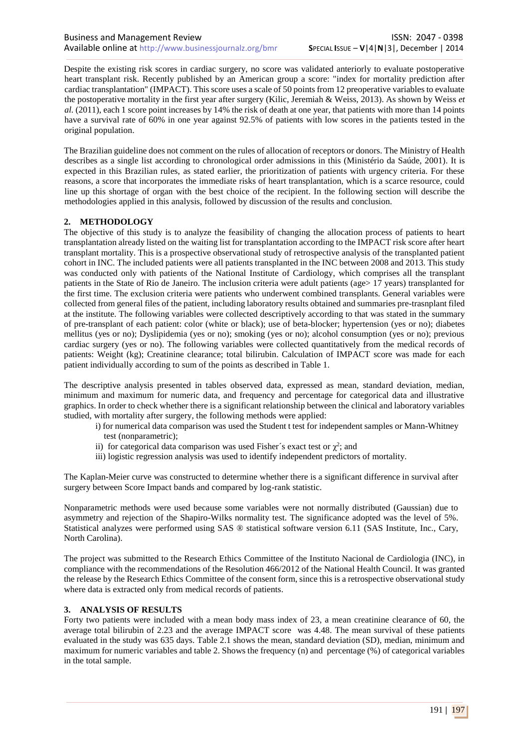Despite the existing risk scores in cardiac surgery, no score was validated anteriorly to evaluate postoperative heart transplant risk. Recently published by an American group a score: "index for mortality prediction after cardiac transplantation" (IMPACT). This score uses a scale of 50 points from 12 preoperative variables to evaluate the postoperative mortality in the first year after surgery (Kilic, Jeremiah & Weiss, 2013). As shown by Weiss *et al.* (2011), each 1 score point increases by 14% the risk of death at one year, that patients with more than 14 points have a survival rate of 60% in one year against 92.5% of patients with low scores in the patients tested in the original population.

The Brazilian guideline does not comment on the rules of allocation of receptors or donors. The Ministry of Health describes as a single list according to chronological order admissions in this (Ministério da Saúde, 2001). It is expected in this Brazilian rules, as stated earlier, the prioritization of patients with urgency criteria. For these reasons, a score that incorporates the immediate risks of heart transplantation, which is a scarce resource, could line up this shortage of organ with the best choice of the recipient. In the following section will describe the methodologies applied in this analysis, followed by discussion of the results and conclusion.

#### **2. METHODOLOGY**

The objective of this study is to analyze the feasibility of changing the allocation process of patients to heart transplantation already listed on the waiting list for transplantation according to the IMPACT risk score after heart transplant mortality. This is a prospective observational study of retrospective analysis of the transplanted patient cohort in INC. The included patients were all patients transplanted in the INC between 2008 and 2013. This study was conducted only with patients of the National Institute of Cardiology, which comprises all the transplant patients in the State of Rio de Janeiro. The inclusion criteria were adult patients (age> 17 years) transplanted for the first time. The exclusion criteria were patients who underwent combined transplants. General variables were collected from general files of the patient, including laboratory results obtained and summaries pre-trasnplant filed at the institute. The following variables were collected descriptively according to that was stated in the summary of pre-transplant of each patient: color (white or black); use of beta-blocker; hypertension (yes or no); diabetes mellitus (yes or no); Dyslipidemia (yes or no); smoking (yes or no); alcohol consumption (yes or no); previous cardiac surgery (yes or no). The following variables were collected quantitatively from the medical records of patients: Weight (kg); Creatinine clearance; total bilirubin. Calculation of IMPACT score was made for each patient individually according to sum of the points as described in Table 1.

The descriptive analysis presented in tables observed data, expressed as mean, standard deviation, median, minimum and maximum for numeric data, and frequency and percentage for categorical data and illustrative graphics. In order to check whether there is a significant relationship between the clinical and laboratory variables studied, with mortality after surgery, the following methods were applied:

- i) for numerical data comparison was used the Student t test for independent samples or Mann-Whitney test (nonparametric);
- ii) for categorical data comparison was used Fisher's exact test or  $\chi^2$ ; and
- iii) logistic regression analysis was used to identify independent predictors of mortality.

The Kaplan-Meier curve was constructed to determine whether there is a significant difference in survival after surgery between Score Impact bands and compared by log-rank statistic.

Nonparametric methods were used because some variables were not normally distributed (Gaussian) due to asymmetry and rejection of the Shapiro-Wilks normality test. The significance adopted was the level of 5%. Statistical analyzes were performed using SAS ® statistical software version 6.11 (SAS Institute, Inc., Cary, North Carolina).

The project was submitted to the Research Ethics Committee of the Instituto Nacional de Cardiologia (INC), in compliance with the recommendations of the Resolution 466/2012 of the National Health Council. It was granted the release by the Research Ethics Committee of the consent form, since this is a retrospective observational study where data is extracted only from medical records of patients.

#### **3. ANALYSIS OF RESULTS**

Forty two patients were included with a mean body mass index of 23, a mean creatinine clearance of 60, the average total bilirubin of 2.23 and the average IMPACT score was 4.48. The mean survival of these patients evaluated in the study was 635 days. Table 2.1 shows the mean, standard deviation (SD), median, minimum and maximum for numeric variables and table 2. Shows the frequency (n) and percentage (%) of categorical variables in the total sample.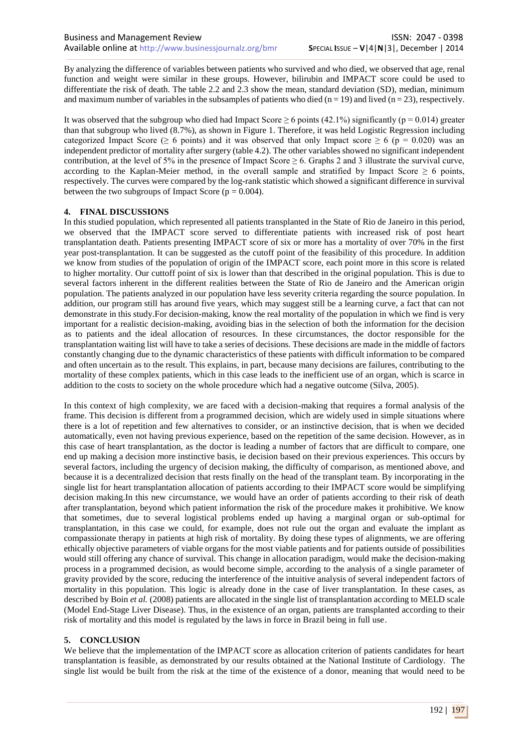By analyzing the difference of variables between patients who survived and who died, we observed that age, renal function and weight were similar in these groups. However, bilirubin and IMPACT score could be used to differentiate the risk of death. The table 2.2 and 2.3 show the mean, standard deviation (SD), median, minimum and maximum number of variables in the subsamples of patients who died  $(n = 19)$  and lived  $(n = 23)$ , respectively.

It was observed that the subgroup who died had Impact Score  $\geq 6$  points (42.1%) significantly (p = 0.014) greater than that subgroup who lived (8.7%), as shown in Figure 1. Therefore, it was held Logistic Regression including categorized Impact Score ( $\geq 6$  points) and it was observed that only Impact score  $\geq 6$  (p = 0.020) was an independent predictor of mortality after surgery (table 4.2). The other variables showed no significant independent contribution, at the level of 5% in the presence of Impact Score  $\geq 6$ . Graphs 2 and 3 illustrate the survival curve, according to the Kaplan-Meier method, in the overall sample and stratified by Impact Score  $\geq 6$  points, respectively. The curves were compared by the log-rank statistic which showed a significant difference in survival between the two subgroups of Impact Score ( $p = 0.004$ ).

#### **4. FINAL DISCUSSIONS**

In this studied population, which represented all patients transplanted in the State of Rio de Janeiro in this period, we observed that the IMPACT score served to differentiate patients with increased risk of post heart transplantation death. Patients presenting IMPACT score of six or more has a mortality of over 70% in the first year post-transplantation. It can be suggested as the cutoff point of the feasibility of this procedure. In addition we know from studies of the population of origin of the IMPACT score, each point more in this score is related to higher mortality. Our cuttoff point of six is lower than that described in the original population. This is due to several factors inherent in the different realities between the State of Rio de Janeiro and the American origin population. The patients analyzed in our population have less severity criteria regarding the source population. In addition, our program still has around five years, which may suggest still be a learning curve, a fact that can not demonstrate in this study.For decision-making, know the real mortality of the population in which we find is very important for a realistic decision-making, avoiding bias in the selection of both the information for the decision as to patients and the ideal allocation of resources. In these circumstances, the doctor responsible for the transplantation waiting list will have to take a series of decisions. These decisions are made in the middle of factors constantly changing due to the dynamic characteristics of these patients with difficult information to be compared and often uncertain as to the result. This explains, in part, because many decisions are failures, contributing to the mortality of these complex patients, which in this case leads to the inefficient use of an organ, which is scarce in addition to the costs to society on the whole procedure which had a negative outcome (Silva, 2005).

In this context of high complexity, we are faced with a decision-making that requires a formal analysis of the frame. This decision is different from a programmed decision, which are widely used in simple situations where there is a lot of repetition and few alternatives to consider, or an instinctive decision, that is when we decided automatically, even not having previous experience, based on the repetition of the same decision. However, as in this case of heart transplantation, as the doctor is leading a number of factors that are difficult to compare, one end up making a decision more instinctive basis, ie decision based on their previous experiences. This occurs by several factors, including the urgency of decision making, the difficulty of comparison, as mentioned above, and because it is a decentralized decision that rests finally on the head of the transplant team. By incorporating in the single list for heart transplantation allocation of patients according to their IMPACT score would be simplifying decision making.In this new circumstance, we would have an order of patients according to their risk of death after transplantation, beyond which patient information the risk of the procedure makes it prohibitive. We know that sometimes, due to several logistical problems ended up having a marginal organ or sub-optimal for transplantation, in this case we could, for example, does not rule out the organ and evaluate the implant as compassionate therapy in patients at high risk of mortality. By doing these types of alignments, we are offering ethically objective parameters of viable organs for the most viable patients and for patients outside of possibilities would still offering any chance of survival. This change in allocation paradigm, would make the decision-making process in a programmed decision, as would become simple, according to the analysis of a single parameter of gravity provided by the score, reducing the interference of the intuitive analysis of several independent factors of mortality in this population. This logic is already done in the case of liver transplantation. In these cases, as described by Boin *et al.* (2008) patients are allocated in the single list of transplantation according to MELD scale (Model End-Stage Liver Disease). Thus, in the existence of an organ, patients are transplanted according to their risk of mortality and this model is regulated by the laws in force in Brazil being in full use.

# **5. CONCLUSION**

We believe that the implementation of the IMPACT score as allocation criterion of patients candidates for heart transplantation is feasible, as demonstrated by our results obtained at the National Institute of Cardiology. The single list would be built from the risk at the time of the existence of a donor, meaning that would need to be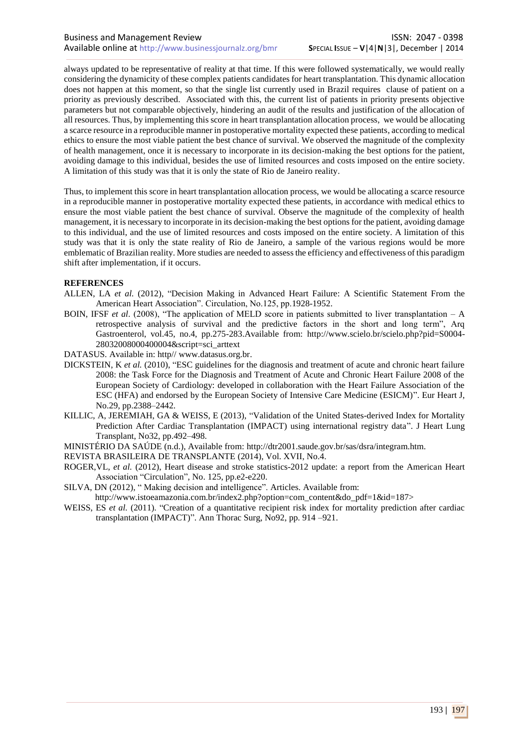always updated to be representative of reality at that time. If this were followed systematically, we would really considering the dynamicity of these complex patients candidates for heart transplantation. This dynamic allocation does not happen at this moment, so that the single list currently used in Brazil requires clause of patient on a priority as previously described. Associated with this, the current list of patients in priority presents objective parameters but not comparable objectively, hindering an audit of the results and justification of the allocation of all resources. Thus, by implementing this score in heart transplantation allocation process, we would be allocating a scarce resource in a reproducible manner in postoperative mortality expected these patients, according to medical ethics to ensure the most viable patient the best chance of survival. We observed the magnitude of the complexity of health management, once it is necessary to incorporate in its decision-making the best options for the patient, avoiding damage to this individual, besides the use of limited resources and costs imposed on the entire society. A limitation of this study was that it is only the state of Rio de Janeiro reality.

Thus, to implement this score in heart transplantation allocation process, we would be allocating a scarce resource in a reproducible manner in postoperative mortality expected these patients, in accordance with medical ethics to ensure the most viable patient the best chance of survival. Observe the magnitude of the complexity of health management, it is necessary to incorporate in its decision-making the best options for the patient, avoiding damage to this individual, and the use of limited resources and costs imposed on the entire society. A limitation of this study was that it is only the state reality of Rio de Janeiro, a sample of the various regions would be more emblematic of Brazilian reality. More studies are needed to assess the efficiency and effectiveness of this paradigm shift after implementation, if it occurs.

#### **REFERENCES**

- ALLEN, LA *et al.* (2012), "Decision Making in Advanced Heart Failure: A Scientific Statement From the American Heart Association". Circulation, No.125, pp.1928-1952.
- BOIN, IFSF *et al*. (2008), "The application of MELD score in patients submitted to liver transplantation A retrospective analysis of survival and the predictive factors in the short and long term", Arq Gastroenterol, vol.45, no.4, pp.275-283.Available from: http://www.scielo.br/scielo.php?pid=S0004- 28032008000400004&script=sci\_arttext
- DATASUS. Available in: http// www.datasus.org.br.
- DICKSTEIN, K *et al.* (2010), "ESC guidelines for the diagnosis and treatment of acute and chronic heart failure 2008: the Task Force for the Diagnosis and Treatment of Acute and Chronic Heart Failure 2008 of the European Society of Cardiology: developed in collaboration with the Heart Failure Association of the ESC (HFA) and endorsed by the European Society of Intensive Care Medicine (ESICM)". Eur Heart J, No.29, pp.2388–2442.
- KILLIC, A, JEREMIAH, GA & WEISS, E (2013), "Validation of the United States-derived Index for Mortality Prediction After Cardiac Transplantation (IMPACT) using international registry data". J Heart Lung Transplant, No32, pp.492–498.
- MINISTÉRIO DA SAÚDE (n.d.), Available from: http://dtr2001.saude.gov.br/sas/dsra/integram.htm.
- REVISTA BRASILEIRA DE TRANSPLANTE (2014), Vol. XVII, No.4.
- ROGER,VL, *et al.* (2012), Heart disease and stroke statistics-2012 update: a report from the American Heart Association "Circulation", No. 125, pp.e2-e220.
- SILVA, DN (2012), " Making decision and intelligence". Articles. Available from:

http://www.istoeamazonia.com.br/index2.php?option=com\_content&do\_pdf=1&id=187>

WEISS, ES *et al.* (2011). "Creation of a quantitative recipient risk index for mortality prediction after cardiac transplantation (IMPACT)". Ann Thorac Surg, No92, pp. 914 –921.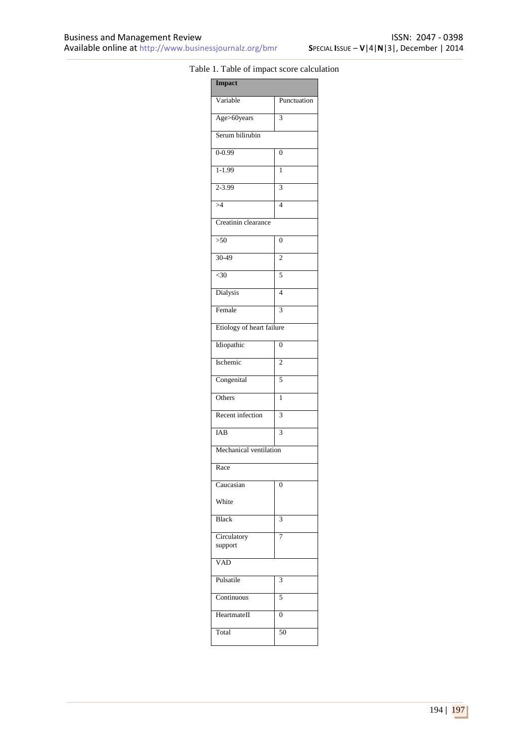# Table 1. Table of impact score calculation

| Variable<br>Punctuation<br>Age>60years<br>3<br>Serum bilirubin<br>$0 - 0.99$<br>$\overline{0}$<br>$1-1.99$<br>$\mathbf{1}$<br>2-3.99<br>3<br>$\overline{54}$<br>$\overline{4}$<br>Creatinin clearance<br>$>50$<br>$\overline{0}$<br>$30-49$<br>$\overline{c}$<br>$30$<br>5<br>Dialysis<br>$\overline{4}$<br>Female<br>3<br>Etiology of heart failure<br>Idiopathic<br>$\overline{0}$ |
|--------------------------------------------------------------------------------------------------------------------------------------------------------------------------------------------------------------------------------------------------------------------------------------------------------------------------------------------------------------------------------------|
|                                                                                                                                                                                                                                                                                                                                                                                      |
|                                                                                                                                                                                                                                                                                                                                                                                      |
|                                                                                                                                                                                                                                                                                                                                                                                      |
|                                                                                                                                                                                                                                                                                                                                                                                      |
|                                                                                                                                                                                                                                                                                                                                                                                      |
|                                                                                                                                                                                                                                                                                                                                                                                      |
|                                                                                                                                                                                                                                                                                                                                                                                      |
|                                                                                                                                                                                                                                                                                                                                                                                      |
|                                                                                                                                                                                                                                                                                                                                                                                      |
|                                                                                                                                                                                                                                                                                                                                                                                      |
|                                                                                                                                                                                                                                                                                                                                                                                      |
|                                                                                                                                                                                                                                                                                                                                                                                      |
|                                                                                                                                                                                                                                                                                                                                                                                      |
|                                                                                                                                                                                                                                                                                                                                                                                      |
|                                                                                                                                                                                                                                                                                                                                                                                      |
| Ischemic<br>$\overline{c}$                                                                                                                                                                                                                                                                                                                                                           |
| Congenital<br>5                                                                                                                                                                                                                                                                                                                                                                      |
| Others<br>ī                                                                                                                                                                                                                                                                                                                                                                          |
| Recent infection<br>$\overline{3}$                                                                                                                                                                                                                                                                                                                                                   |
| $\overline{\mathbf{3}}$<br>IAB                                                                                                                                                                                                                                                                                                                                                       |
| Mechanical ventilation                                                                                                                                                                                                                                                                                                                                                               |
| Race                                                                                                                                                                                                                                                                                                                                                                                 |
| Caucasian<br>$\overline{0}$                                                                                                                                                                                                                                                                                                                                                          |
| White                                                                                                                                                                                                                                                                                                                                                                                |
| <b>Black</b><br>3                                                                                                                                                                                                                                                                                                                                                                    |
| Circulatory<br>7<br>support                                                                                                                                                                                                                                                                                                                                                          |
| <b>VAD</b>                                                                                                                                                                                                                                                                                                                                                                           |
| Pulsatile<br>3                                                                                                                                                                                                                                                                                                                                                                       |
| 5<br>Continuous                                                                                                                                                                                                                                                                                                                                                                      |
| HeartmateII<br>$\overline{0}$                                                                                                                                                                                                                                                                                                                                                        |
| Total<br>50                                                                                                                                                                                                                                                                                                                                                                          |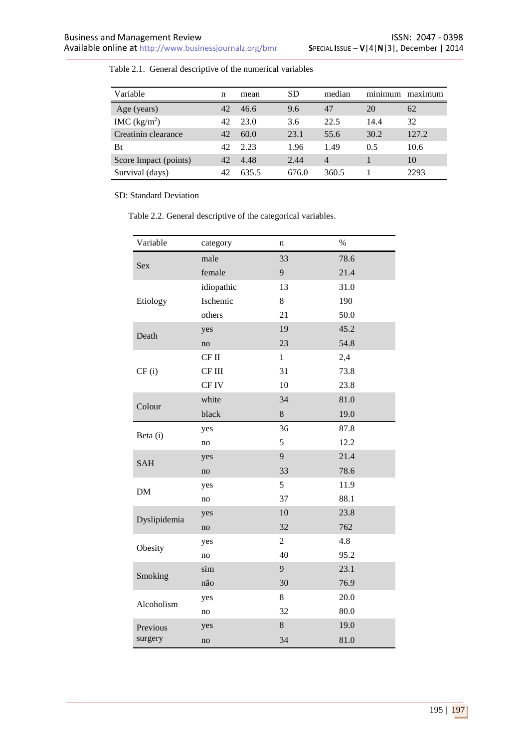| Variable              | n  | mean  | <b>SD</b> | median         | $\cdot$ $\cdot$<br>minimum | maximum |
|-----------------------|----|-------|-----------|----------------|----------------------------|---------|
| Age (years)           | 42 | 46.6  | 9.6       | 47             | 20                         | 62      |
| IMC $(kg/m^2)$        | 42 | 23.0  | 3.6       | 22.5           | 14.4                       | 32      |
| Creatinin clearance   | 42 | 60.0  | 23.1      | 55.6           | 30.2                       | 127.2   |
| Bt                    | 42 | 2.23  | 1.96      | 1.49           | 0.5                        | 10.6    |
| Score Impact (points) | 42 | 4.48  | 2.44      | $\overline{4}$ |                            | 10      |
| Survival (days)       | 42 | 635.5 | 676.0     | 360.5          |                            | 2293    |

Table 2.1. General descriptive of the numerical variables

SD: Standard Deviation

Table 2.2. General descriptive of the categorical variables.

| Variable     | category      | n              | $\%$ |
|--------------|---------------|----------------|------|
|              | male          | 33             | 78.6 |
| <b>Sex</b>   | female        | 9              | 21.4 |
|              | idiopathic    | 13             | 31.0 |
| Etiology     | Ischemic      | 8              | 190  |
|              | others        | 21             | 50.0 |
| Death        | yes           | 19             | 45.2 |
|              | no            | 23             | 54.8 |
|              | CF II         | $\mathbf{1}$   | 2,4  |
| CF(i)        | CF III        | 31             | 73.8 |
|              | CF IV         | 10             | 23.8 |
| Colour       | white         | 34             | 81.0 |
|              | black         | 8              | 19.0 |
| Beta (i)     | yes           | 36             | 87.8 |
|              | no            | 5              | 12.2 |
| <b>SAH</b>   | yes           | 9              | 21.4 |
|              | no            | 33             | 78.6 |
| <b>DM</b>    | yes           | 5              | 11.9 |
|              | $\mathbf{no}$ | 37             | 88.1 |
| Dyslipidemia | yes           | 10             | 23.8 |
|              | no            | 32             | 762  |
| Obesity      | yes           | $\overline{2}$ | 4.8  |
|              | no            | 40             | 95.2 |
|              | sim           | 9              | 23.1 |
| Smoking      | não           | 30             | 76.9 |
| Alcoholism   | yes           | 8              | 20.0 |
|              | no            | 32             | 80.0 |
| Previous     | yes           | 8              | 19.0 |
| surgery      | no            | 34             | 81.0 |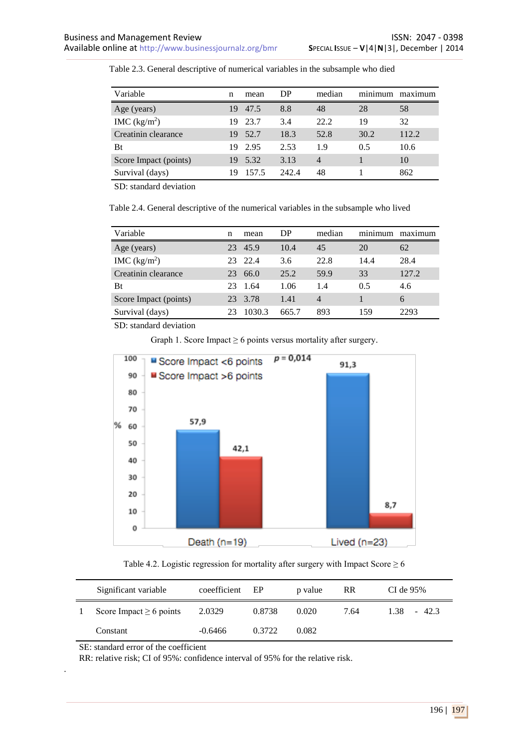| Variable              | n   | mean  | DP    | median | . .<br>minimum | maximum |
|-----------------------|-----|-------|-------|--------|----------------|---------|
| Age (years)           | 19  | 47.5  | 8.8   | 48     | 28             | 58      |
| IMC $(kg/m2)$         | 19. | 23.7  | 3.4   | 22.2   | 19             | 32      |
| Creatinin clearance   | 19. | 52.7  | 18.3  | 52.8   | 30.2           | 112.2   |
| Bt                    | 19. | 2.95  | 2.53  | 1.9    | 0.5            | 10.6    |
| Score Impact (points) | 19. | 5.32  | 3.13  | 4      |                | 10      |
| Survival (days)       | 19  | 157.5 | 242.4 | 48     |                | 862     |

Table 2.3. General descriptive of numerical variables in the subsample who died

SD: standard deviation

Table 2.4. General descriptive of the numerical variables in the subsample who lived

| Variable              | n  | mean    | DP    | median         | minimum | maximum |
|-----------------------|----|---------|-------|----------------|---------|---------|
| Age (years)           | 23 | 45.9    | 10.4  | 45             | 20      | 62      |
| IMC $(kg/m^2)$        | 23 | 22.4    | 3.6   | 22.8           | 14.4    | 28.4    |
| Creatinin clearance   | 23 | 66.0    | 25.2  | 59.9           | 33      | 127.2   |
| Bt                    | 23 | 1.64    | 1.06  | 1.4            | 0.5     | 4.6     |
| Score Impact (points) |    | 23 3.78 | 1.41  | $\overline{4}$ |         | 6       |
| Survival (days)       |    | 1030.3  | 665.7 | 893            | 159     | 2293    |

SD: standard deviation

Graph 1. Score Impact  $\geq 6$  points versus mortality after surgery.



Table 4.2. Logistic regression for mortality after surgery with Impact Score  $\geq 6$ 

| Significant variable         | coeefficient EP |        | p value | <b>RR</b> | CI de $95\%$        |
|------------------------------|-----------------|--------|---------|-----------|---------------------|
| Score Impact $\geq 6$ points | 2.0329          | 0.8738 | 0.020   | 7.64      | $1.38 -$<br>$-42.3$ |
| Constant                     | $-0.6466$       | 0.3722 | 0.082   |           |                     |

SE: standard error of the coefficient

.

RR: relative risk; CI of 95%: confidence interval of 95% for the relative risk.